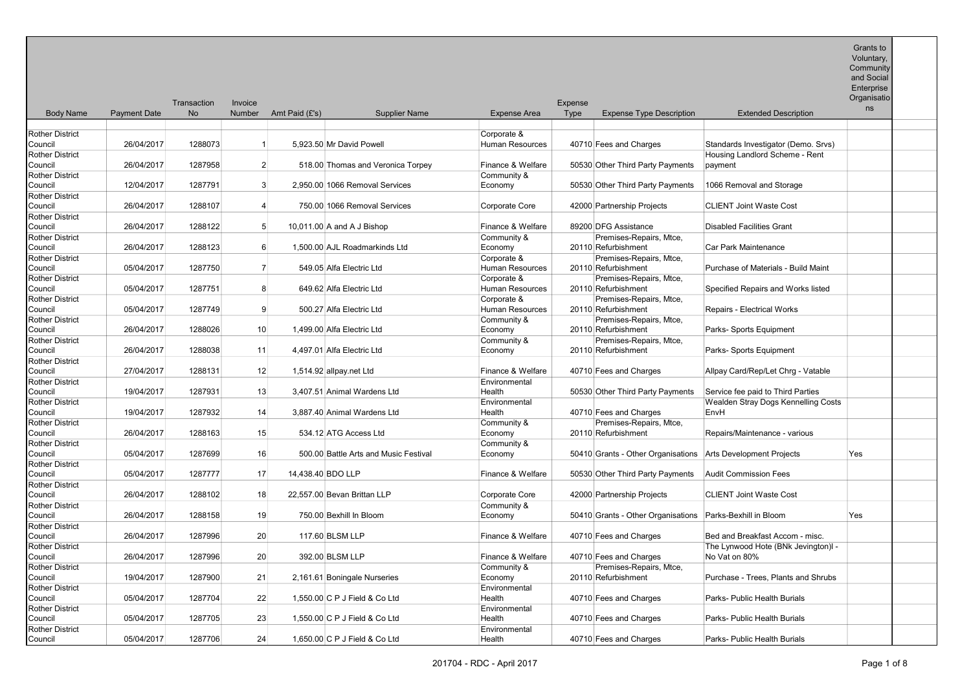Grants to Voluntary, Community and Social Enterprise

| <b>Body Name</b>                  | <b>Payment Date</b> | Transaction<br><b>No</b> | Invoice<br>Number | Amt Paid (£'s)                | <b>Supplier Name</b>                  | <b>Expense Area</b>    | <b>Expense</b><br>Type | <b>Expense Type Description</b>                              | <b>Extended Description</b>         | Organisatio<br>ns |
|-----------------------------------|---------------------|--------------------------|-------------------|-------------------------------|---------------------------------------|------------------------|------------------------|--------------------------------------------------------------|-------------------------------------|-------------------|
|                                   |                     |                          |                   |                               |                                       |                        |                        |                                                              |                                     |                   |
| <b>Rother District</b>            |                     |                          |                   |                               |                                       | Corporate &            |                        |                                                              |                                     |                   |
| Council                           | 26/04/2017          | 1288073                  | $\overline{1}$    | 5.923.50 Mr David Powell      |                                       | <b>Human Resources</b> |                        | 40710 Fees and Charges                                       | Standards Investigator (Demo. Srvs) |                   |
| <b>Rother District</b>            |                     |                          |                   |                               |                                       |                        |                        |                                                              | Housing Landlord Scheme - Rent      |                   |
| Council                           | 26/04/2017          | 1287958                  | $\overline{2}$    |                               | 518.00 Thomas and Veronica Torpey     | Finance & Welfare      |                        | 50530 Other Third Party Payments                             | payment                             |                   |
| <b>Rother District</b>            |                     |                          |                   |                               |                                       | Community &            |                        |                                                              |                                     |                   |
| Council                           | 12/04/2017          | 1287791                  | 3                 |                               | 2,950.00 1066 Removal Services        | Economy                |                        | 50530 Other Third Party Payments                             | 1066 Removal and Storage            |                   |
| <b>Rother District</b>            |                     |                          |                   |                               |                                       |                        |                        |                                                              |                                     |                   |
| Council                           | 26/04/2017          | 1288107                  | $\overline{4}$    |                               | 750.00 1066 Removal Services          | Corporate Core         |                        | 42000 Partnership Projects                                   | <b>CLIENT Joint Waste Cost</b>      |                   |
| <b>Rother District</b>            |                     |                          |                   |                               |                                       |                        |                        |                                                              |                                     |                   |
| Council                           | 26/04/2017          | 1288122                  | 5                 | 10,011.00 A and A J Bishop    |                                       | Finance & Welfare      |                        | 89200 DFG Assistance                                         | <b>Disabled Facilities Grant</b>    |                   |
| <b>Rother District</b>            |                     |                          |                   |                               |                                       | Community &            |                        | Premises-Repairs, Mtce,                                      |                                     |                   |
| Council                           | 26/04/2017          | 1288123                  | 6                 |                               | 1,500.00 AJL Roadmarkinds Ltd         | Economy                |                        | 20110 Refurbishment                                          | Car Park Maintenance                |                   |
| <b>Rother District</b>            |                     |                          |                   |                               |                                       | Corporate &            |                        | Premises-Repairs, Mtce,                                      |                                     |                   |
| Council                           | 05/04/2017          | 1287750                  | $\overline{7}$    | 549.05 Alfa Electric Ltd      |                                       | Human Resources        |                        | 20110 Refurbishment                                          | Purchase of Materials - Build Maint |                   |
| <b>Rother District</b>            |                     |                          |                   |                               |                                       | Corporate &            |                        | Premises-Repairs, Mtce,                                      |                                     |                   |
| Council                           | 05/04/2017          | 1287751                  | 8                 | 649.62 Alfa Electric Ltd      |                                       | Human Resources        |                        | 20110 Refurbishment                                          | Specified Repairs and Works listed  |                   |
| <b>Rother District</b>            |                     |                          |                   |                               |                                       | Corporate &            |                        | Premises-Repairs, Mtce,                                      |                                     |                   |
| Council                           | 05/04/2017          | 1287749                  | 9                 | 500.27 Alfa Electric Ltd      |                                       | Human Resources        |                        | 20110 Refurbishment                                          | Repairs - Electrical Works          |                   |
| <b>Rother District</b>            |                     |                          |                   |                               |                                       | Community &            |                        | Premises-Repairs, Mtce,                                      |                                     |                   |
| Council                           | 26/04/2017          | 1288026                  | 10                | 1.499.00 Alfa Electric Ltd    |                                       | Economy                |                        | 20110 Refurbishment                                          | Parks- Sports Equipment             |                   |
| <b>Rother District</b>            |                     |                          |                   |                               |                                       | Community &            |                        | Premises-Repairs, Mtce,                                      |                                     |                   |
| Council                           | 26/04/2017          | 1288038                  | 11                | 4,497.01 Alfa Electric Ltd    |                                       | Economy                |                        | 20110 Refurbishment                                          | Parks- Sports Equipment             |                   |
| <b>Rother District</b>            |                     |                          |                   |                               |                                       |                        |                        |                                                              |                                     |                   |
| Council                           | 27/04/2017          | 1288131                  | 12                | 1,514.92 allpay.net Ltd       |                                       | Finance & Welfare      |                        | 40710 Fees and Charges                                       | Allpay Card/Rep/Let Chrg - Vatable  |                   |
| <b>Rother District</b>            |                     |                          |                   |                               |                                       | Environmental          |                        |                                                              |                                     |                   |
| Council                           | 19/04/2017          | 1287931                  | 13                | 3.407.51 Animal Wardens Ltd   |                                       | Health                 |                        | 50530 Other Third Party Payments                             | Service fee paid to Third Parties   |                   |
| <b>Rother District</b>            |                     |                          |                   |                               |                                       | Environmental          |                        |                                                              | Wealden Stray Dogs Kennelling Costs |                   |
| Council                           | 19/04/2017          | 1287932                  | 14                | 3.887.40 Animal Wardens Ltd   |                                       | Health                 |                        | 40710 Fees and Charges                                       | EnvH                                |                   |
| <b>Rother District</b>            | 26/04/2017          | 1288163                  | 15                |                               |                                       | Community &            |                        | Premises-Repairs, Mtce,<br>20110 Refurbishment               |                                     |                   |
| Council                           |                     |                          |                   | 534.12 ATG Access Ltd         |                                       | Economy                |                        |                                                              | Repairs/Maintenance - various       |                   |
| <b>Rother District</b><br>Council | 05/04/2017          | 1287699                  | 16                |                               | 500.00 Battle Arts and Music Festival | Community &            |                        | 50410 Grants - Other Organisations Arts Development Projects |                                     | Yes               |
| <b>Rother District</b>            |                     |                          |                   |                               |                                       | Economy                |                        |                                                              |                                     |                   |
| Council                           | 05/04/2017          | 1287777                  | 17                | 14,438.40 BDO LLP             |                                       | Finance & Welfare      |                        | 50530 Other Third Party Payments                             | <b>Audit Commission Fees</b>        |                   |
| <b>Rother District</b>            |                     |                          |                   |                               |                                       |                        |                        |                                                              |                                     |                   |
| Council                           | 26/04/2017          | 1288102                  | 18                | 22.557.00 Bevan Brittan LLP   |                                       | Corporate Core         |                        | 42000 Partnership Projects                                   | <b>CLIENT Joint Waste Cost</b>      |                   |
| <b>Rother District</b>            |                     |                          |                   |                               |                                       | Community &            |                        |                                                              |                                     |                   |
| Council                           | 26/04/2017          | 1288158                  | 19                | 750.00 Bexhill In Bloom       |                                       | Economy                |                        | 50410 Grants - Other Organisations                           | Parks-Bexhill in Bloom              | Yes               |
| <b>Rother District</b>            |                     |                          |                   |                               |                                       |                        |                        |                                                              |                                     |                   |
| Council                           | 26/04/2017          | 1287996                  | 20                | 117.60 BLSM LLP               |                                       | Finance & Welfare      |                        | 40710 Fees and Charges                                       | Bed and Breakfast Accom - misc.     |                   |
| <b>Rother District</b>            |                     |                          |                   |                               |                                       |                        |                        |                                                              | The Lynwood Hote (BNk Jevington)I - |                   |
| Council                           | 26/04/2017          | 1287996                  | 20                | 392.00 BLSM LLP               |                                       | Finance & Welfare      |                        | 40710 Fees and Charges                                       | No Vat on 80%                       |                   |
| <b>Rother District</b>            |                     |                          |                   |                               |                                       | Community &            |                        | Premises-Repairs, Mtce,                                      |                                     |                   |
| Council                           | 19/04/2017          | 1287900                  | 21                | 2,161.61 Boningale Nurseries  |                                       | Economy                |                        | 20110 Refurbishment                                          | Purchase - Trees, Plants and Shrubs |                   |
| <b>Rother District</b>            |                     |                          |                   |                               |                                       | Environmental          |                        |                                                              |                                     |                   |
| Council                           | 05/04/2017          | 1287704                  | 22                | 1,550.00 C P J Field & Co Ltd |                                       | Health                 |                        | 40710 Fees and Charges                                       | Parks- Public Health Burials        |                   |
| <b>Rother District</b>            |                     |                          |                   |                               |                                       | Environmental          |                        |                                                              |                                     |                   |
| Council                           | 05/04/2017          | 1287705                  | 23                | 1,550.00 C P J Field & Co Ltd |                                       | Health                 |                        | 40710 Fees and Charges                                       | Parks- Public Health Burials        |                   |
| <b>Rother District</b>            |                     |                          |                   |                               |                                       | Environmental          |                        |                                                              |                                     |                   |
| Council                           | 05/04/2017          | 1287706                  | 24                | 1,650.00 C P J Field & Co Ltd |                                       | Health                 |                        | 40710 Fees and Charges                                       | Parks- Public Health Burials        |                   |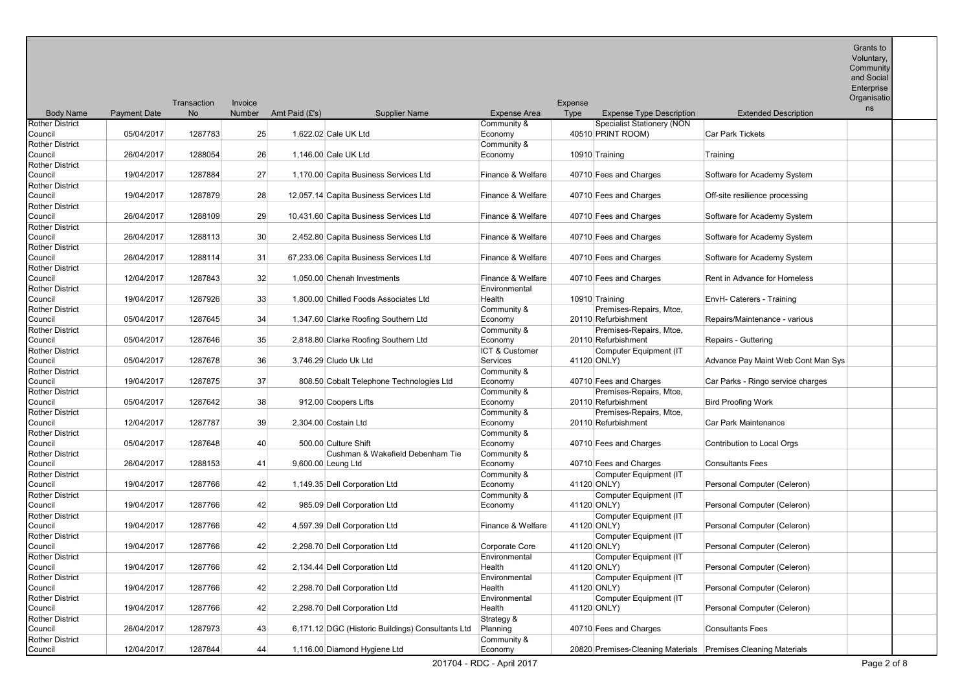**Community** and Social

 $E<sub>ntor</sub>$ 

|                                                             |                     | Transaction | Invoice         |                |                                                          |                                       | Expense |                                                               |                                    | <b>LUCIPUSE</b><br>Organisatio |  |
|-------------------------------------------------------------|---------------------|-------------|-----------------|----------------|----------------------------------------------------------|---------------------------------------|---------|---------------------------------------------------------------|------------------------------------|--------------------------------|--|
| <b>Body Name</b>                                            | <b>Payment Date</b> | No          | Number          | Amt Paid (£'s) | <b>Supplier Name</b>                                     | Expense Area                          | Type    | <b>Expense Type Description</b>                               | <b>Extended Description</b>        | ns                             |  |
| <b>Rother District</b><br>Council                           | 05/04/2017          | 1287783     | 25              |                | 1,622.02 Cale UK Ltd                                     | Community &<br>Economy                |         | <b>Specialist Stationery (NON</b><br>40510 PRINT ROOM)        | <b>Car Park Tickets</b>            |                                |  |
| <b>Rother District</b><br>Council                           | 26/04/2017          | 1288054     | 26              |                | 1,146.00 Cale UK Ltd                                     | Community &<br>Economy                |         | 10910 Training                                                | Training                           |                                |  |
| <b>Rother District</b><br>Council                           | 19/04/2017          | 1287884     | 27              |                | 1,170.00 Capita Business Services Ltd                    | Finance & Welfare                     |         | 40710 Fees and Charges                                        | Software for Academy System        |                                |  |
| <b>Rother District</b><br>Council                           | 19/04/2017          | 1287879     | 28              |                | 12,057.14 Capita Business Services Ltd                   | Finance & Welfare                     |         | 40710 Fees and Charges                                        | Off-site resilience processing     |                                |  |
| <b>Rother District</b><br>Council                           | 26/04/2017          | 1288109     | 29              |                | 10,431.60 Capita Business Services Ltd                   | Finance & Welfare                     |         | 40710 Fees and Charges                                        | Software for Academy System        |                                |  |
| <b>Rother District</b><br>Council                           | 26/04/2017          | 1288113     | 30 <sup>°</sup> |                | 2,452.80 Capita Business Services Ltd                    | Finance & Welfare                     |         | 40710 Fees and Charges                                        | Software for Academy System        |                                |  |
| <b>Rother District</b><br>Council                           | 26/04/2017          | 1288114     | 31              |                | 67,233.06 Capita Business Services Ltd                   | Finance & Welfare                     |         | 40710 Fees and Charges                                        | Software for Academy System        |                                |  |
| Rother District<br>Council                                  | 12/04/2017          | 1287843     | 32              |                | 1,050.00 Chenah Investments                              | Finance & Welfare                     |         | 40710 Fees and Charges                                        | Rent in Advance for Homeless       |                                |  |
| <b>Rother District</b><br>Council                           | 19/04/2017          | 1287926     | 33              |                | 1,800.00 Chilled Foods Associates Ltd                    | Environmental<br>Health               |         | 10910 Training                                                | EnvH- Caterers - Training          |                                |  |
| <b>Rother District</b><br>Council                           | 05/04/2017          | 1287645     | 34              |                | 1,347.60 Clarke Roofing Southern Ltd                     | Community &<br>Economy                |         | Premises-Repairs, Mtce,<br>20110 Refurbishment                | Repairs/Maintenance - various      |                                |  |
| <b>Rother District</b><br>Council                           | 05/04/2017          | 1287646     | 35              |                | 2,818.80 Clarke Roofing Southern Ltd                     | Community &<br>Economy                |         | Premises-Repairs, Mtce,<br>20110 Refurbishment                | Repairs - Guttering                |                                |  |
| <b>Rother District</b><br>Council                           | 05/04/2017          | 1287678     | 36              |                | 3,746.29 Cludo Uk Ltd                                    | ICT & Customer<br>Services            |         | Computer Equipment (IT<br>41120 ONLY)                         | Advance Pay Maint Web Cont Man Sys |                                |  |
| <b>Rother District</b><br>Council                           | 19/04/2017          | 1287875     | 37              |                | 808.50 Cobalt Telephone Technologies Ltd                 | Community &<br>Economy                |         | 40710 Fees and Charges                                        | Car Parks - Ringo service charges  |                                |  |
| <b>Rother District</b><br>Council                           | 05/04/2017          | 1287642     | 38              |                | 912.00 Coopers Lifts                                     | Community &<br>Economy                |         | Premises-Repairs, Mtce,<br>20110 Refurbishment                | <b>Bird Proofing Work</b>          |                                |  |
| <b>Rother District</b><br>Council                           | 12/04/2017          | 1287787     | 39              |                | 2.304.00 Costain Ltd                                     | Community &<br>Economy                |         | Premises-Repairs, Mtce,<br>20110 Refurbishment                | Car Park Maintenance               |                                |  |
| <b>Rother District</b><br>Council<br><b>Rother District</b> | 05/04/2017          | 1287648     | 40              |                | 500.00 Culture Shift<br>Cushman & Wakefield Debenham Tie | Community &<br>Economy                |         | 40710 Fees and Charges                                        | Contribution to Local Orgs         |                                |  |
| Council<br>Rother District                                  | 26/04/2017          | 1288153     | 41              |                | 9,600.00 Leung Ltd                                       | Community &<br>Economy<br>Community & |         | 40710 Fees and Charges<br>Computer Equipment (IT              | <b>Consultants Fees</b>            |                                |  |
| Council<br>Rother District                                  | 19/04/2017          | 1287766     | 42              |                | 1,149.35 Dell Corporation Ltd                            | Economy<br>Community &                |         | 41120 ONLY)<br>Computer Equipment (IT                         | Personal Computer (Celeron)        |                                |  |
| Council<br><b>Rother District</b>                           | 19/04/2017          | 1287766     | 42              |                | 985.09 Dell Corporation Ltd                              | Economy                               |         | 41120 ONLY)<br>Computer Equipment (IT                         | Personal Computer (Celeron)        |                                |  |
| Council<br><b>Rother District</b>                           | 19/04/2017          | 1287766     | 42              |                | 4,597.39 Dell Corporation Ltd                            | Finance & Welfare                     |         | 41120 ONLY)<br>Computer Equipment (IT                         | Personal Computer (Celeron)        |                                |  |
| Council<br><b>Rother District</b>                           | 19/04/2017          | 1287766     | 42              |                | 2,298.70 Dell Corporation Ltd                            | Corporate Core<br>Environmental       |         | 41120 ONLY)<br>Computer Equipment (IT                         | Personal Computer (Celeron)        |                                |  |
| Council<br><b>Rother District</b>                           | 19/04/2017          | 1287766     | 42              |                | 2,134.44 Dell Corporation Ltd                            | Health<br>Environmental               |         | 41120 ONLY)<br>Computer Equipment (IT                         | Personal Computer (Celeron)        |                                |  |
| Council<br><b>Rother District</b>                           | 19/04/2017          | 1287766     | 42              |                | 2,298.70 Dell Corporation Ltd                            | Health<br>Environmental               |         | 41120 ONLY)<br>Computer Equipment (IT                         | Personal Computer (Celeron)        |                                |  |
| Council<br><b>Rother District</b>                           | 19/04/2017          | 1287766     | 42              |                | 2,298.70 Dell Corporation Ltd                            | Health<br>Strategy &                  |         | 41120 ONLY)                                                   | Personal Computer (Celeron)        |                                |  |
| Council<br><b>Rother District</b>                           | 26/04/2017          | 1287973     | 43              |                | 6,171.12 DGC (Historic Buildings) Consultants Ltd        | Planning<br>Community &               |         | 40710 Fees and Charges                                        | <b>Consultants Fees</b>            |                                |  |
| Council                                                     | 12/04/2017          | 1287844     | 44              |                | 1,116.00 Diamond Hygiene Ltd                             | Economy                               |         | 20820 Premises-Cleaning Materials Premises Cleaning Materials |                                    |                                |  |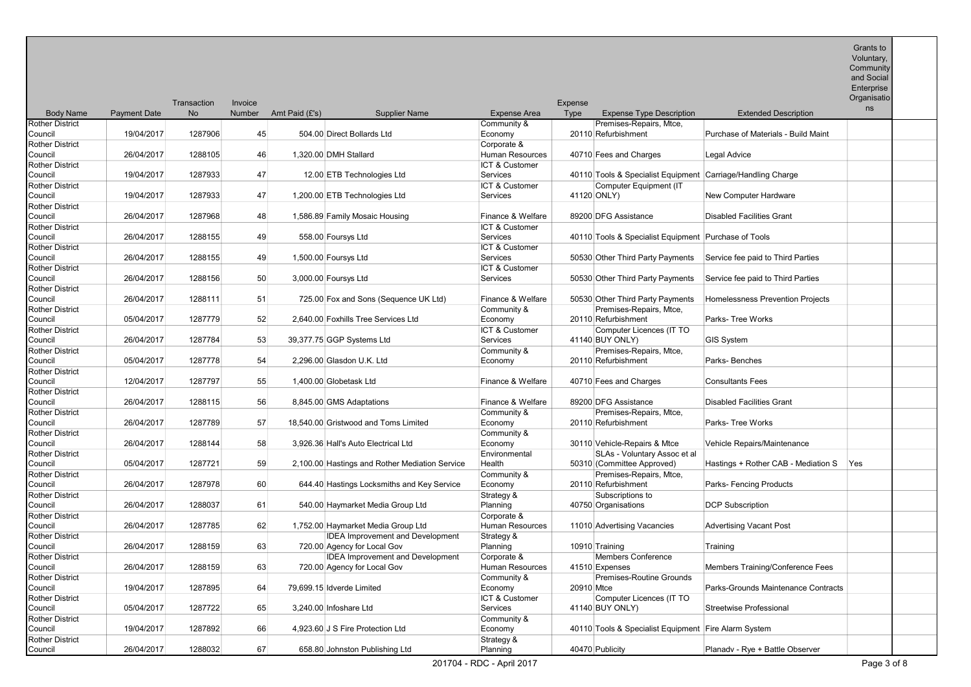Community

and Social Enterprise

|                                   |                     | Transaction | Invoice       |                |                                                |                                   | Expense     |                                                             |                                     | Organisatio |  |
|-----------------------------------|---------------------|-------------|---------------|----------------|------------------------------------------------|-----------------------------------|-------------|-------------------------------------------------------------|-------------------------------------|-------------|--|
| <b>Body Name</b>                  | <b>Payment Date</b> | <b>No</b>   | <b>Number</b> | Amt Paid (£'s) | <b>Supplier Name</b>                           | Expense Area                      | <b>Type</b> | <b>Expense Type Description</b>                             | <b>Extended Description</b>         | ns          |  |
| <b>Rother District</b>            |                     |             |               |                |                                                | Community &                       |             | Premises-Repairs, Mtce.                                     |                                     |             |  |
| Council                           | 19/04/2017          | 1287906     | 45            |                | 504.00 Direct Bollards Ltd                     | Economy                           |             | 20110 Refurbishment                                         | Purchase of Materials - Build Maint |             |  |
| <b>Rother District</b>            |                     |             |               |                |                                                | Corporate &                       |             |                                                             |                                     |             |  |
| Council                           | 26/04/2017          | 1288105     | 46            |                | 1.320.00 DMH Stallard                          | <b>Human Resources</b>            |             | 40710 Fees and Charges                                      | Legal Advice                        |             |  |
| <b>Rother District</b>            |                     |             |               |                |                                                | ICT & Customer                    |             |                                                             |                                     |             |  |
| Council                           | 19/04/2017          | 1287933     | 47            |                | 12.00 ETB Technologies Ltd                     | Services                          |             | 40110 Tools & Specialist Equipment Carriage/Handling Charge |                                     |             |  |
| Rother District                   |                     |             |               |                |                                                | ICT & Customer                    |             | Computer Equipment (IT                                      |                                     |             |  |
| Council                           | 19/04/2017          | 1287933     | 47            |                | 1,200.00 ETB Technologies Ltd                  | Services                          |             | 41120 ONLY)                                                 | New Computer Hardware               |             |  |
| Rother District                   |                     |             |               |                |                                                |                                   |             |                                                             |                                     |             |  |
| Council                           | 26/04/2017          | 1287968     | 48            |                | 1,586.89 Family Mosaic Housing                 | Finance & Welfare                 |             | 89200 DFG Assistance                                        | <b>Disabled Facilities Grant</b>    |             |  |
| <b>Rother District</b>            |                     |             |               |                |                                                | ICT & Customer                    |             |                                                             |                                     |             |  |
| Council                           | 26/04/2017          | 1288155     | 49            |                | 558.00 Foursys Ltd                             | <b>Services</b>                   |             | 40110 Tools & Specialist Equipment Purchase of Tools        |                                     |             |  |
| <b>Rother District</b>            | 26/04/2017          |             |               |                |                                                | ICT & Customer<br><b>Services</b> |             |                                                             |                                     |             |  |
| Council                           |                     | 1288155     | 49            |                | 1,500.00 Foursys Ltd                           |                                   |             | 50530 Other Third Party Payments                            | Service fee paid to Third Parties   |             |  |
| <b>Rother District</b><br>Council | 26/04/2017          | 1288156     | 50            |                | 3,000.00 Foursys Ltd                           | ICT & Customer<br><b>Services</b> |             | 50530 Other Third Party Payments                            | Service fee paid to Third Parties   |             |  |
| Rother District                   |                     |             |               |                |                                                |                                   |             |                                                             |                                     |             |  |
| Council                           | 26/04/2017          | 1288111     | 51            |                | 725.00 Fox and Sons (Sequence UK Ltd)          | Finance & Welfare                 |             | 50530 Other Third Party Payments                            | Homelessness Prevention Projects    |             |  |
| <b>Rother District</b>            |                     |             |               |                |                                                | Community &                       |             | Premises-Repairs, Mtce,                                     |                                     |             |  |
| Council                           | 05/04/2017          | 1287779     | 52            |                | 2,640.00 Foxhills Tree Services Ltd            | Economy                           |             | 20110 Refurbishment                                         | Parks-Tree Works                    |             |  |
| <b>Rother District</b>            |                     |             |               |                |                                                | ICT & Customer                    |             | Computer Licences (IT TO                                    |                                     |             |  |
| Council                           | 26/04/2017          | 1287784     | 53            |                | 39,377.75 GGP Systems Ltd                      | Services                          |             | 41140 BUY ONLY)                                             | <b>GIS System</b>                   |             |  |
| <b>Rother District</b>            |                     |             |               |                |                                                | Community &                       |             | Premises-Repairs, Mtce,                                     |                                     |             |  |
| Council                           | 05/04/2017          | 1287778     | 54            |                | 2.296.00 Glasdon U.K. Ltd                      | Economy                           |             | 20110 Refurbishment                                         | Parks-Benches                       |             |  |
| Rother District                   |                     |             |               |                |                                                |                                   |             |                                                             |                                     |             |  |
| Council                           | 12/04/2017          | 1287797     | 55            |                | 1,400.00 Globetask Ltd                         | Finance & Welfare                 |             | 40710 Fees and Charges                                      | <b>Consultants Fees</b>             |             |  |
| <b>Rother District</b>            |                     |             |               |                |                                                |                                   |             |                                                             |                                     |             |  |
| Council                           | 26/04/2017          | 1288115     | 56            |                | 8,845.00 GMS Adaptations                       | Finance & Welfare                 |             | 89200 DFG Assistance                                        | <b>Disabled Facilities Grant</b>    |             |  |
| <b>Rother District</b>            |                     |             |               |                |                                                | Community &                       |             | Premises-Repairs, Mtce,                                     |                                     |             |  |
| Council                           | 26/04/2017          | 1287789     | 57            |                | 18.540.00 Gristwood and Toms Limited           | Economy                           |             | 20110 Refurbishment                                         | Parks- Tree Works                   |             |  |
| Rother District                   |                     |             |               |                |                                                | Community &                       |             |                                                             |                                     |             |  |
| Council                           | 26/04/2017          | 1288144     | 58            |                | 3,926.36 Hall's Auto Electrical Ltd            | Economy                           |             | 30110 Vehicle-Repairs & Mtce                                | Vehicle Repairs/Maintenance         |             |  |
| <b>Rother District</b>            |                     |             |               |                |                                                | Environmental                     |             | SLAs - Voluntary Assoc et al                                |                                     |             |  |
| Council                           | 05/04/2017          | 1287721     | 59            |                | 2,100.00 Hastings and Rother Mediation Service | Health                            |             | 50310 (Committee Approved)                                  | Hastings + Rother CAB - Mediation S | Yes         |  |
| Rother District                   |                     |             |               |                |                                                | Community &                       |             | Premises-Repairs, Mtce,                                     |                                     |             |  |
| Council                           | 26/04/2017          | 1287978     | 60            |                | 644.40 Hastings Locksmiths and Key Service     | Economy                           |             | 20110 Refurbishment                                         | Parks- Fencing Products             |             |  |
| <b>Rother District</b>            |                     |             |               |                |                                                | Strategy &                        |             | Subscriptions to                                            |                                     |             |  |
| Council<br><b>Rother District</b> | 26/04/2017          | 1288037     | 61            |                | 540.00 Haymarket Media Group Ltd               | Planning<br>Corporate &           |             | 40750 Organisations                                         | <b>DCP Subscription</b>             |             |  |
| Council                           | 26/04/2017          | 1287785     | 62            |                | 1,752.00 Haymarket Media Group Ltd             | Human Resources                   |             | 11010 Advertising Vacancies                                 | <b>Advertising Vacant Post</b>      |             |  |
| Rother District                   |                     |             |               |                | <b>IDEA Improvement and Development</b>        | Strategy &                        |             |                                                             |                                     |             |  |
| Council                           | 26/04/2017          | 1288159     | 63            |                | 720.00 Agency for Local Gov                    | Planning                          |             | 10910 Training                                              | Training                            |             |  |
| Rother District                   |                     |             |               |                | <b>IDEA Improvement and Development</b>        | Corporate &                       |             | <b>Members Conference</b>                                   |                                     |             |  |
| Council                           | 26/04/2017          | 1288159     | 63            |                | 720.00 Agency for Local Gov                    | Human Resources                   |             | 41510 Expenses                                              | Members Training/Conference Fees    |             |  |
| <b>Rother District</b>            |                     |             |               |                |                                                | Community &                       |             | Premises-Routine Grounds                                    |                                     |             |  |
| Council                           | 19/04/2017          | 1287895     | 64            |                | 79,699.15 Idverde Limited                      | Economy                           | 20910 Mtce  |                                                             | Parks-Grounds Maintenance Contracts |             |  |
| Rother District                   |                     |             |               |                |                                                | ICT & Customer                    |             | Computer Licences (IT TO                                    |                                     |             |  |
| Council                           | 05/04/2017          | 1287722     | 65            |                | 3,240.00 Infoshare Ltd                         | Services                          |             | 41140 BUY ONLY)                                             | Streetwise Professional             |             |  |
| <b>Rother District</b>            |                     |             |               |                |                                                | Community &                       |             |                                                             |                                     |             |  |
| Council                           | 19/04/2017          | 1287892     | 66            |                | 4,923.60 J S Fire Protection Ltd               | Economy                           |             | 40110 Tools & Specialist Equipment Fire Alarm System        |                                     |             |  |
| Rother District                   |                     |             |               |                |                                                | Strategy &                        |             |                                                             |                                     |             |  |
| Council                           | 26/04/2017          | 1288032     | 67            |                | 658.80 Johnston Publishing Ltd                 | Planning                          |             | 40470 Publicity                                             | Planady - Rye + Battle Observer     |             |  |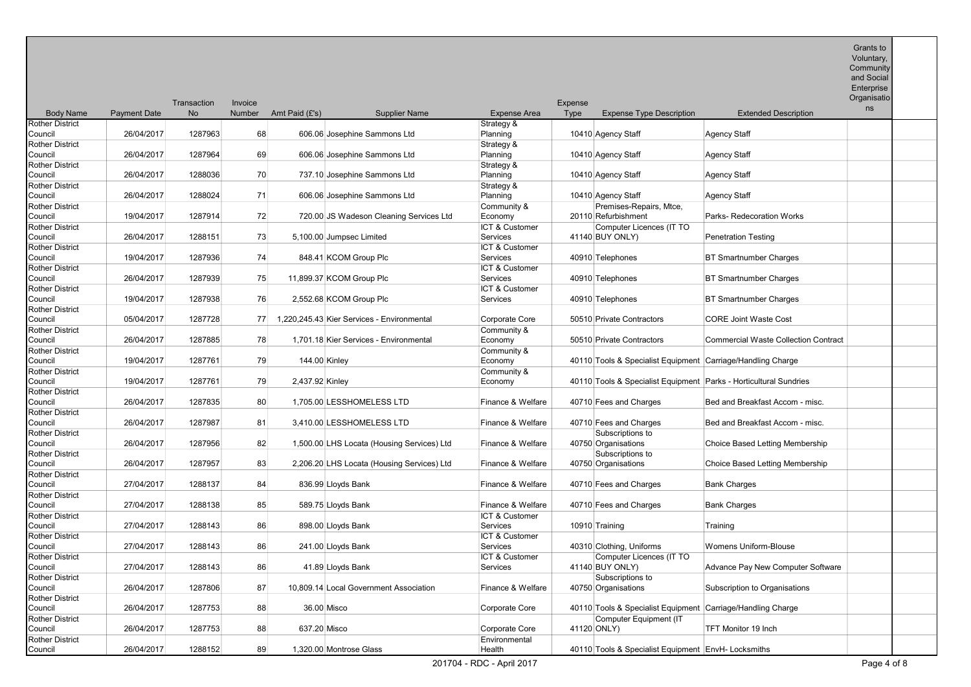|                                   |                     |             |         |                 |                                            |                        |         |                                                                     |                                             | Enterprise        |  |
|-----------------------------------|---------------------|-------------|---------|-----------------|--------------------------------------------|------------------------|---------|---------------------------------------------------------------------|---------------------------------------------|-------------------|--|
|                                   |                     | Transaction | Invoice |                 |                                            |                        | Expense |                                                                     |                                             | Organisatio<br>ns |  |
| <b>Body Name</b>                  | <b>Payment Date</b> | <b>No</b>   | Number  | Amt Paid (£'s)  | <b>Supplier Name</b>                       | <b>Expense Area</b>    | Type    | <b>Expense Type Description</b>                                     | <b>Extended Description</b>                 |                   |  |
| <b>Rother District</b>            |                     |             |         |                 |                                            | Strategy &             |         |                                                                     |                                             |                   |  |
| Council                           | 26/04/2017          | 1287963     | 68      |                 | 606.06 Josephine Sammons Ltd               | Planning               |         | 10410 Agency Staff                                                  | <b>Agency Staff</b>                         |                   |  |
| <b>Rother District</b>            |                     |             |         |                 |                                            | Strategy &             |         |                                                                     |                                             |                   |  |
| Council                           | 26/04/2017          | 1287964     | 69      |                 | 606.06 Josephine Sammons Ltd               | Planning               |         | 10410 Agency Staff                                                  | <b>Agency Staff</b>                         |                   |  |
| <b>Rother District</b>            |                     |             |         |                 |                                            | Strategy &             |         |                                                                     |                                             |                   |  |
| Council                           | 26/04/2017          | 1288036     | 70      |                 | 737.10 Josephine Sammons Ltd               | Planning               |         | 10410 Agency Staff                                                  | <b>Agency Staff</b>                         |                   |  |
| <b>Rother District</b>            |                     |             |         |                 |                                            | Strategy &             |         |                                                                     |                                             |                   |  |
| Council                           | 26/04/2017          | 1288024     | 71      |                 | 606.06 Josephine Sammons Ltd               | Planning               |         | 10410 Agency Staff                                                  | <b>Agency Staff</b>                         |                   |  |
| <b>Rother District</b>            |                     |             |         |                 |                                            | Community &            |         | Premises-Repairs, Mtce,                                             |                                             |                   |  |
| Council                           | 19/04/2017          | 1287914     | 72      |                 | 720.00 JS Wadeson Cleaning Services Ltd    | Economy                |         | 20110 Refurbishment                                                 | Parks- Redecoration Works                   |                   |  |
| <b>Rother District</b>            |                     |             |         |                 |                                            | ICT & Customer         |         | Computer Licences (IT TO                                            |                                             |                   |  |
| Council                           | 26/04/2017          | 1288151     | 73      |                 | 5,100.00 Jumpsec Limited                   | <b>Services</b>        |         | 41140 BUY ONLY)                                                     | <b>Penetration Testing</b>                  |                   |  |
| <b>Rother District</b>            |                     |             |         |                 |                                            | ICT & Customer         |         |                                                                     |                                             |                   |  |
| Council                           | 19/04/2017          | 1287936     | 74      |                 | 848.41 KCOM Group Plc                      | Services               |         | 40910 Telephones                                                    | <b>BT Smartnumber Charges</b>               |                   |  |
| <b>Rother District</b>            |                     |             |         |                 |                                            | ICT & Customer         |         |                                                                     |                                             |                   |  |
| Council                           | 26/04/2017          | 1287939     | 75      |                 | 11,899.37 KCOM Group Plc                   | Services               |         | 40910 Telephones                                                    | <b>BT Smartnumber Charges</b>               |                   |  |
| <b>Rother District</b>            |                     |             |         |                 |                                            | ICT & Customer         |         |                                                                     |                                             |                   |  |
| Council                           | 19/04/2017          | 1287938     | 76      |                 | 2,552.68 KCOM Group Plc                    | Services               |         | 40910 Telephones                                                    | <b>BT Smartnumber Charges</b>               |                   |  |
| <b>Rother District</b>            |                     |             |         |                 |                                            |                        |         |                                                                     |                                             |                   |  |
| Council                           | 05/04/2017          | 1287728     | 77      |                 | 1,220,245.43 Kier Services - Environmental | Corporate Core         |         | 50510 Private Contractors                                           | <b>CORE Joint Waste Cost</b>                |                   |  |
| <b>Rother District</b><br>Council | 26/04/2017          | 1287885     | 78      |                 | 1,701.18 Kier Services - Environmental     | Community &<br>Economy |         | 50510 Private Contractors                                           | <b>Commercial Waste Collection Contract</b> |                   |  |
|                                   |                     |             |         |                 |                                            |                        |         |                                                                     |                                             |                   |  |
| <b>Rother District</b>            | 19/04/2017          | 1287761     | 79      |                 |                                            | Community &            |         |                                                                     |                                             |                   |  |
| Council                           |                     |             |         | 144.00 Kinley   |                                            | Economy                |         | 40110 Tools & Specialist Equipment Carriage/Handling Charge         |                                             |                   |  |
| <b>Rother District</b><br>Council | 19/04/2017          | 1287761     | 79      | 2,437.92 Kinley |                                            | Community &<br>Economy |         | 40110 Tools & Specialist Equipment   Parks - Horticultural Sundries |                                             |                   |  |
| <b>Rother District</b>            |                     |             |         |                 |                                            |                        |         |                                                                     |                                             |                   |  |
| Council                           | 26/04/2017          | 1287835     | 80      |                 | 1,705.00 LESSHOMELESS LTD                  | Finance & Welfare      |         | 40710 Fees and Charges                                              | Bed and Breakfast Accom - misc.             |                   |  |
| <b>Rother District</b>            |                     |             |         |                 |                                            |                        |         |                                                                     |                                             |                   |  |
| Council                           | 26/04/2017          | 1287987     | 81      |                 | 3,410.00 LESSHOMELESS LTD                  | Finance & Welfare      |         | 40710 Fees and Charges                                              | Bed and Breakfast Accom - misc.             |                   |  |
| Rother District                   |                     |             |         |                 |                                            |                        |         | Subscriptions to                                                    |                                             |                   |  |
| Council                           | 26/04/2017          | 1287956     | 82      |                 | 1,500.00 LHS Locata (Housing Services) Ltd | Finance & Welfare      |         | 40750 Organisations                                                 | Choice Based Letting Membership             |                   |  |
| <b>Rother District</b>            |                     |             |         |                 |                                            |                        |         | Subscriptions to                                                    |                                             |                   |  |
| Council                           | 26/04/2017          | 1287957     | 83      |                 | 2,206.20 LHS Locata (Housing Services) Ltd | Finance & Welfare      |         | 40750 Organisations                                                 | Choice Based Letting Membership             |                   |  |
| <b>Rother District</b>            |                     |             |         |                 |                                            |                        |         |                                                                     |                                             |                   |  |
| Council                           | 27/04/2017          | 1288137     | 84      |                 | 836.99 Lloyds Bank                         | Finance & Welfare      |         | 40710 Fees and Charges                                              | <b>Bank Charges</b>                         |                   |  |
| <b>Rother District</b>            |                     |             |         |                 |                                            |                        |         |                                                                     |                                             |                   |  |
| Council                           | 27/04/2017          | 1288138     | 85      |                 | 589.75 Lloyds Bank                         | Finance & Welfare      |         | 40710 Fees and Charges                                              | <b>Bank Charges</b>                         |                   |  |
| <b>Rother District</b>            |                     |             |         |                 |                                            | ICT & Customer         |         |                                                                     |                                             |                   |  |
| Council                           | 27/04/2017          | 1288143     | 86      |                 | 898.00 Lloyds Bank                         | Services               |         | 10910 Training                                                      | Training                                    |                   |  |
| <b>Rother District</b>            |                     |             |         |                 |                                            | ICT & Customer         |         |                                                                     |                                             |                   |  |
| Council                           | 27/04/2017          | 1288143     | 86      |                 | 241.00 Lloyds Bank                         | Services               |         | 40310 Clothing, Uniforms                                            | Womens Uniform-Blouse                       |                   |  |
| <b>Rother District</b>            |                     |             |         |                 |                                            | ICT & Customer         |         | Computer Licences (IT TO                                            |                                             |                   |  |
| Council                           | 27/04/2017          | 1288143     | 86      |                 | 41.89 Lloyds Bank                          | Services               |         | 41140 BUY ONLY)                                                     | Advance Pay New Computer Software           |                   |  |
| <b>Rother District</b>            |                     |             |         |                 |                                            |                        |         | Subscriptions to                                                    |                                             |                   |  |
| Council                           | 26/04/2017          | 1287806     | 87      |                 | 10,809.14 Local Government Association     | Finance & Welfare      |         | 40750 Organisations                                                 | Subscription to Organisations               |                   |  |
| <b>Rother District</b>            |                     |             |         |                 |                                            |                        |         |                                                                     |                                             |                   |  |
| Council                           | 26/04/2017          | 1287753     | 88      |                 | 36.00 Misco                                | Corporate Core         |         | 40110 Tools & Specialist Equipment Carriage/Handling Charge         |                                             |                   |  |
| <b>Rother District</b>            |                     |             |         |                 |                                            |                        |         | Computer Equipment (IT                                              |                                             |                   |  |
| Council                           | 26/04/2017          | 1287753     | 88      | 637.20 Misco    |                                            | <b>Corporate Core</b>  |         | 41120 ONLY)                                                         | TFT Monitor 19 Inch                         |                   |  |
| <b>Rother District</b>            |                     |             |         |                 |                                            | Environmental          |         |                                                                     |                                             |                   |  |
| Council                           | 26/04/2017          | 1288152     | 89      |                 | 1,320.00 Montrose Glass                    | Health                 |         | 40110 Tools & Specialist Equipment EnvH- Locksmiths                 |                                             |                   |  |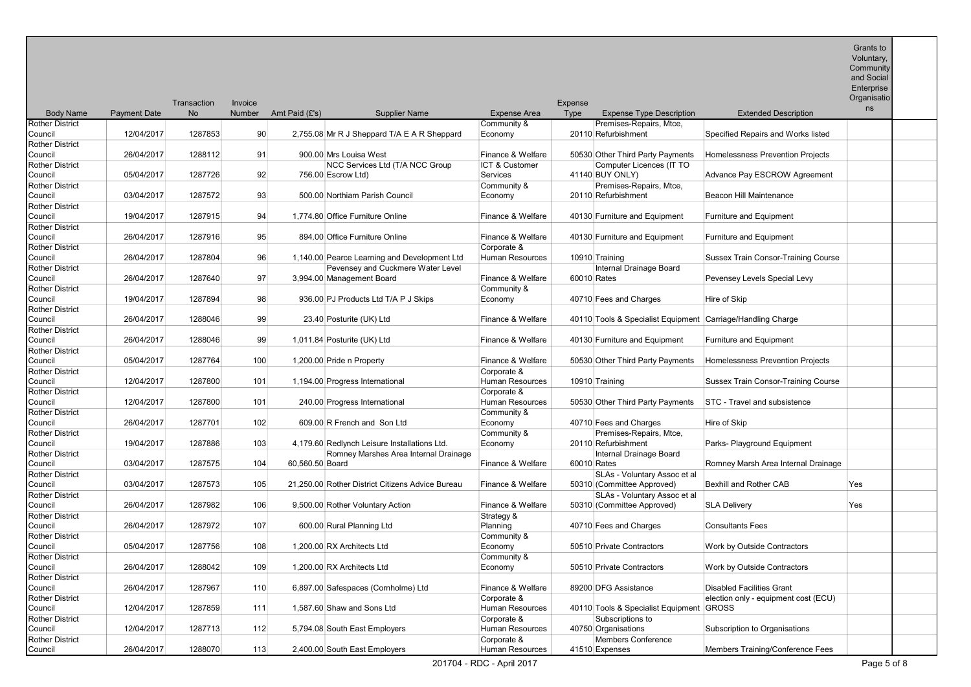Community

| and Social |  |
|------------|--|
| Enterprise |  |

|                                   |                     | Transaction | Invoice |                 |                                                  |                                       | Expense |                                                             |                                            | Organisatio |
|-----------------------------------|---------------------|-------------|---------|-----------------|--------------------------------------------------|---------------------------------------|---------|-------------------------------------------------------------|--------------------------------------------|-------------|
| <b>Body Name</b>                  | <b>Payment Date</b> | No          | Number  | Amt Paid (£'s)  | <b>Supplier Name</b>                             | <b>Expense Area</b>                   | Type    | <b>Expense Type Description</b>                             | <b>Extended Description</b>                | ns          |
| <b>Rother District</b>            |                     |             |         |                 |                                                  | Community &                           |         | Premises-Repairs, Mtce.                                     |                                            |             |
| Council                           | 12/04/2017          | 1287853     | 90      |                 | 2,755.08 Mr R J Sheppard T/A E A R Sheppard      | Economy                               |         | 20110 Refurbishment                                         | Specified Repairs and Works listed         |             |
| <b>Rother District</b>            |                     |             |         |                 |                                                  |                                       |         |                                                             |                                            |             |
| Council                           | 26/04/2017          | 1288112     | 91      |                 | 900.00 Mrs Louisa West                           | Finance & Welfare                     |         | 50530 Other Third Party Payments                            | Homelessness Prevention Projects           |             |
| <b>Rother District</b>            |                     |             |         |                 | NCC Services Ltd (T/A NCC Group                  | ICT & Customer                        |         | Computer Licences (IT TO                                    |                                            |             |
| Council                           | 05/04/2017          | 1287726     | 92      |                 | 756.00 Escrow Ltd)                               | <b>Services</b>                       |         | 41140 BUY ONLY)                                             | Advance Pay ESCROW Agreement               |             |
| <b>Rother District</b>            |                     |             |         |                 |                                                  | Community &                           |         | Premises-Repairs, Mtce,                                     |                                            |             |
| Council                           | 03/04/2017          | 1287572     | 93      |                 | 500.00 Northiam Parish Council                   | Economy                               |         | 20110 Refurbishment                                         | Beacon Hill Maintenance                    |             |
| <b>Rother District</b>            |                     |             |         |                 |                                                  |                                       |         |                                                             |                                            |             |
| Council                           | 19/04/2017          | 1287915     | 94      |                 | 1,774.80 Office Furniture Online                 | Finance & Welfare                     |         | 40130 Furniture and Equipment                               | <b>Furniture and Equipment</b>             |             |
| <b>Rother District</b>            |                     |             |         |                 |                                                  |                                       |         |                                                             |                                            |             |
| Council                           | 26/04/2017          | 1287916     | 95      |                 | 894.00 Office Furniture Online                   | Finance & Welfare                     |         | 40130 Furniture and Equipment                               | <b>Furniture and Equipment</b>             |             |
| <b>Rother District</b>            |                     |             |         |                 |                                                  | Corporate &                           |         |                                                             |                                            |             |
| Council                           | 26/04/2017          | 1287804     | 96      |                 | 1,140.00 Pearce Learning and Development Ltd     | Human Resources                       |         | 10910 Training                                              | <b>Sussex Train Consor-Training Course</b> |             |
| <b>Rother District</b>            |                     |             |         |                 | Pevensey and Cuckmere Water Level                |                                       |         | Internal Drainage Board                                     |                                            |             |
| Council                           | 26/04/2017          | 1287640     | 97      |                 | 3,994.00 Management Board                        | Finance & Welfare                     |         | 60010 Rates                                                 | Pevensey Levels Special Levy               |             |
| <b>Rother District</b>            |                     |             |         |                 |                                                  | Community &                           |         |                                                             |                                            |             |
| Council                           | 19/04/2017          | 1287894     | 98      |                 | 936.00 PJ Products Ltd T/A P J Skips             | Economy                               |         | 40710 Fees and Charges                                      | Hire of Skip                               |             |
| <b>Rother District</b>            |                     |             |         |                 |                                                  |                                       |         |                                                             |                                            |             |
| Council                           | 26/04/2017          | 1288046     | 99      |                 | 23.40 Posturite (UK) Ltd                         | Finance & Welfare                     |         | 40110 Tools & Specialist Equipment Carriage/Handling Charge |                                            |             |
| <b>Rother District</b>            |                     |             |         |                 |                                                  |                                       |         |                                                             |                                            |             |
| Council                           | 26/04/2017          | 1288046     | 99      |                 | 1,011.84 Posturite (UK) Ltd                      | Finance & Welfare                     |         | 40130 Furniture and Equipment                               | <b>Furniture and Equipment</b>             |             |
| <b>Rother District</b>            |                     |             |         |                 |                                                  |                                       |         |                                                             |                                            |             |
| Council                           | 05/04/2017          | 1287764     | 100     |                 | 1,200.00 Pride n Property                        | Finance & Welfare                     |         | 50530 Other Third Party Payments                            | Homelessness Prevention Projects           |             |
| <b>Rother District</b><br>Council | 12/04/2017          | 1287800     | 101     |                 |                                                  | Corporate &<br><b>Human Resources</b> |         | 10910 Training                                              | <b>Sussex Train Consor-Training Course</b> |             |
| <b>Rother District</b>            |                     |             |         |                 | 1,194.00 Progress International                  | Corporate &                           |         |                                                             |                                            |             |
| Council                           | 12/04/2017          | 1287800     | 101     |                 | 240.00 Progress International                    | <b>Human Resources</b>                |         | 50530 Other Third Party Payments                            | STC - Travel and subsistence               |             |
| <b>Rother District</b>            |                     |             |         |                 |                                                  | Community &                           |         |                                                             |                                            |             |
| Council                           | 26/04/2017          | 1287701     | 102     |                 | 609.00 R French and Son Ltd                      | Economy                               |         | 40710 Fees and Charges                                      | Hire of Skip                               |             |
| <b>Rother District</b>            |                     |             |         |                 |                                                  | Community &                           |         | Premises-Repairs, Mtce,                                     |                                            |             |
| Council                           | 19/04/2017          | 1287886     | 103     |                 | 4,179.60 Redlynch Leisure Installations Ltd.     | Economy                               |         | 20110 Refurbishment                                         | Parks- Playground Equipment                |             |
| <b>Rother District</b>            |                     |             |         |                 | Romney Marshes Area Internal Drainage            |                                       |         | Internal Drainage Board                                     |                                            |             |
| Council                           | 03/04/2017          | 1287575     | 104     | 60,560.50 Board |                                                  | Finance & Welfare                     |         | 60010 Rates                                                 | Romney Marsh Area Internal Drainage        |             |
| <b>Rother District</b>            |                     |             |         |                 |                                                  |                                       |         | SLAs - Voluntary Assoc et al                                |                                            |             |
| Council                           | 03/04/2017          | 1287573     | 105     |                 | 21.250.00 Rother District Citizens Advice Bureau | Finance & Welfare                     |         | 50310 (Committee Approved)                                  | Bexhill and Rother CAB                     | Yes         |
| <b>Rother District</b>            |                     |             |         |                 |                                                  |                                       |         | SLAs - Voluntary Assoc et al                                |                                            |             |
| Council                           | 26/04/2017          | 1287982     | 106     |                 | 9,500.00 Rother Voluntary Action                 | Finance & Welfare                     |         | 50310 (Committee Approved)                                  | <b>SLA Delivery</b>                        | Yes         |
| <b>Rother District</b>            |                     |             |         |                 |                                                  | Strategy &                            |         |                                                             |                                            |             |
| Council                           | 26/04/2017          | 1287972     | 107     |                 | 600.00 Rural Planning Ltd                        | Planning                              |         | 40710 Fees and Charges                                      | <b>Consultants Fees</b>                    |             |
| <b>Rother District</b>            |                     |             |         |                 |                                                  | Community &                           |         |                                                             |                                            |             |
| Council                           | 05/04/2017          | 1287756     | 108     |                 | 1,200.00 RX Architects Ltd                       | Economy                               |         | 50510 Private Contractors                                   | Work by Outside Contractors                |             |
| <b>Rother District</b>            |                     |             |         |                 |                                                  | Community &                           |         |                                                             |                                            |             |
| Council                           | 26/04/2017          | 1288042     | 109     |                 | 1,200.00 RX Architects Ltd                       | Economy                               |         | 50510 Private Contractors                                   | Work by Outside Contractors                |             |
| <b>Rother District</b>            |                     |             |         |                 |                                                  |                                       |         |                                                             |                                            |             |
| Council                           | 26/04/2017          | 1287967     | 110     |                 | 6,897.00 Safespaces (Cornholme) Ltd              | Finance & Welfare                     |         | 89200 DFG Assistance                                        | <b>Disabled Facilities Grant</b>           |             |
| <b>Rother District</b>            |                     |             |         |                 |                                                  | Corporate &                           |         |                                                             | election only - equipment cost (ECU)       |             |
| Council                           | 12/04/2017          | 1287859     | 111     |                 | 1,587.60 Shaw and Sons Ltd                       | <b>Human Resources</b>                |         | 40110 Tools & Specialist Equipment GROSS                    |                                            |             |
| <b>Rother District</b>            |                     |             |         |                 |                                                  | Corporate &                           |         | Subscriptions to                                            |                                            |             |
| Council                           | 12/04/2017          | 1287713     | 112     |                 | 5,794.08 South East Employers                    | <b>Human Resources</b>                |         | 40750 Organisations                                         | Subscription to Organisations              |             |
| <b>Rother District</b>            |                     |             |         |                 |                                                  | Corporate &                           |         | <b>Members Conference</b>                                   |                                            |             |
| Council                           | 26/04/2017          | 1288070     | 113     |                 | 2,400.00 South East Employers                    | Human Resources                       |         | 41510 Expenses                                              | Members Training/Conference Fees           |             |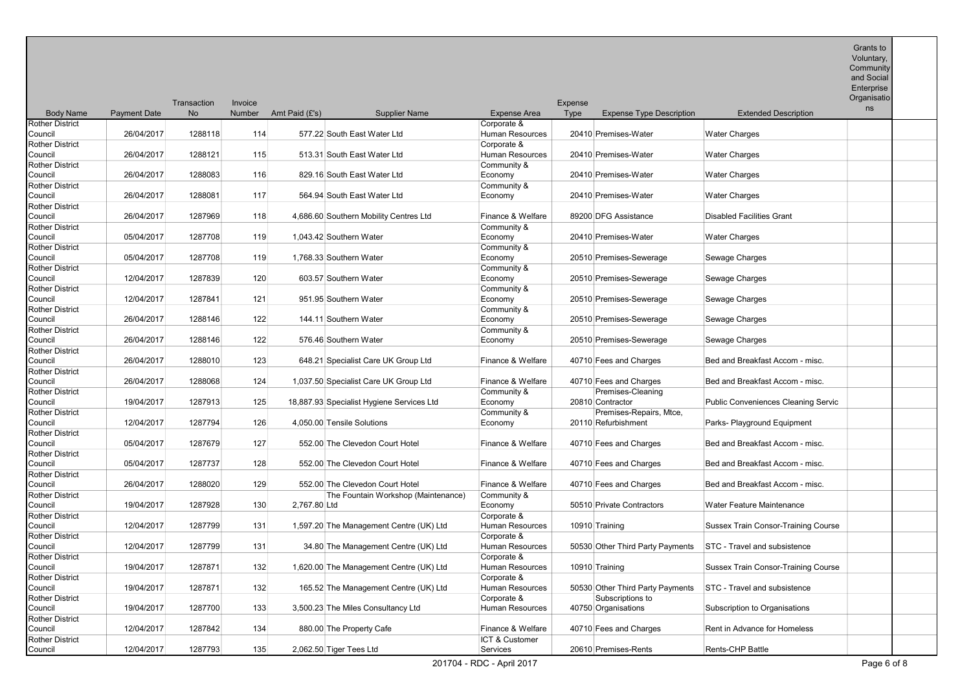|                                   |                     |             |         |                                           |                                       |         |                                  |                                     | Enterprise<br>Organisatio |  |
|-----------------------------------|---------------------|-------------|---------|-------------------------------------------|---------------------------------------|---------|----------------------------------|-------------------------------------|---------------------------|--|
|                                   |                     | Transaction | Invoice |                                           |                                       | Expense |                                  |                                     | ns                        |  |
| <b>Body Name</b>                  | <b>Payment Date</b> | No.         | Number  | Amt Paid (£'s)<br><b>Supplier Name</b>    | <b>Expense Area</b>                   | Type    | <b>Expense Type Description</b>  | <b>Extended Description</b>         |                           |  |
| <b>Rother District</b><br>Council | 26/04/2017          | 1288118     | 114     | 577.22 South East Water Ltd               | Corporate &<br>Human Resources        |         | 20410 Premises-Water             | <b>Water Charges</b>                |                           |  |
| Rother District<br>Council        | 26/04/2017          | 1288121     | 115     | 513.31 South East Water Ltd               | Corporate &<br>Human Resources        |         | 20410 Premises-Water             | <b>Water Charges</b>                |                           |  |
| <b>Rother District</b>            |                     |             |         |                                           | Community &                           |         |                                  |                                     |                           |  |
| Council                           | 26/04/2017          | 1288083     | 116     | 829.16 South East Water Ltd               | Economy                               |         | 20410 Premises-Water             | <b>Water Charges</b>                |                           |  |
| Rother District                   |                     |             |         |                                           | Community &                           |         |                                  |                                     |                           |  |
| Council                           | 26/04/2017          | 1288081     | 117     | 564.94 South East Water Ltd               | Economy                               |         | 20410 Premises-Water             | <b>Water Charges</b>                |                           |  |
| <b>Rother District</b>            |                     |             |         |                                           |                                       |         |                                  |                                     |                           |  |
| Council                           | 26/04/2017          | 1287969     | 118     | 4,686.60 Southern Mobility Centres Ltd    | Finance & Welfare                     |         | 89200 DFG Assistance             | <b>Disabled Facilities Grant</b>    |                           |  |
| <b>Rother District</b>            |                     |             |         |                                           | Community &                           |         |                                  |                                     |                           |  |
| Council                           | 05/04/2017          | 1287708     | 119     | 1,043.42 Southern Water                   | Economy                               |         | 20410 Premises-Water             | <b>Water Charges</b>                |                           |  |
| Rother District                   |                     |             |         |                                           | Community &                           |         |                                  |                                     |                           |  |
| Council                           | 05/04/2017          | 1287708     | 119     | 1,768.33 Southern Water                   | Economy                               |         | 20510 Premises-Sewerage          | Sewage Charges                      |                           |  |
| <b>Rother District</b>            |                     |             |         |                                           | Community &                           |         |                                  |                                     |                           |  |
| Council                           | 12/04/2017          | 1287839     | 120     | 603.57 Southern Water                     | Economy                               |         | 20510 Premises-Sewerage          | Sewage Charges                      |                           |  |
| <b>Rother District</b>            | 12/04/2017          | 1287841     | 121     |                                           | Community &                           |         |                                  |                                     |                           |  |
| Council<br><b>Rother District</b> |                     |             |         | 951.95 Southern Water                     | Economy                               |         | 20510 Premises-Sewerage          | Sewage Charges                      |                           |  |
| Council                           | 26/04/2017          | 1288146     | 122     | 144.11 Southern Water                     | Community &<br>Economy                |         | 20510 Premises-Sewerage          | Sewage Charges                      |                           |  |
| Rother District                   |                     |             |         |                                           | Community &                           |         |                                  |                                     |                           |  |
| Council                           | 26/04/2017          | 1288146     | 122     | 576.46 Southern Water                     | Economy                               |         | 20510 Premises-Sewerage          | Sewage Charges                      |                           |  |
| <b>Rother District</b>            |                     |             |         |                                           |                                       |         |                                  |                                     |                           |  |
| Council                           | 26/04/2017          | 1288010     | 123     | 648.21 Specialist Care UK Group Ltd       | Finance & Welfare                     |         | 40710 Fees and Charges           | Bed and Breakfast Accom - misc.     |                           |  |
| <b>Rother District</b>            |                     |             |         |                                           |                                       |         |                                  |                                     |                           |  |
| Council                           | 26/04/2017          | 1288068     | 124     | 1,037.50 Specialist Care UK Group Ltd     | Finance & Welfare                     |         | 40710 Fees and Charges           | Bed and Breakfast Accom - misc.     |                           |  |
| <b>Rother District</b>            |                     |             |         |                                           | Community &                           |         | Premises-Cleaning                |                                     |                           |  |
| Council                           | 19/04/2017          | 1287913     | 125     | 18,887.93 Specialist Hygiene Services Ltd | Economy                               |         | 20810 Contractor                 | Public Conveniences Cleaning Servic |                           |  |
| <b>Rother District</b>            |                     |             |         |                                           | Community &                           |         | Premises-Repairs, Mtce,          |                                     |                           |  |
| Council                           | 12/04/2017          | 1287794     | 126     | 4,050.00 Tensile Solutions                | Economy                               |         | 20110 Refurbishment              | Parks- Playground Equipment         |                           |  |
| <b>Rother District</b>            |                     |             |         |                                           |                                       |         |                                  |                                     |                           |  |
| Council                           | 05/04/2017          | 1287679     | 127     | 552.00 The Clevedon Court Hotel           | Finance & Welfare                     |         | 40710 Fees and Charges           | Bed and Breakfast Accom - misc.     |                           |  |
| <b>Rother District</b>            |                     |             |         |                                           |                                       |         |                                  |                                     |                           |  |
| Council                           | 05/04/2017          | 1287737     | 128     | 552.00 The Clevedon Court Hotel           | Finance & Welfare                     |         | 40710 Fees and Charges           | Bed and Breakfast Accom - misc.     |                           |  |
| Rother District                   |                     |             |         |                                           |                                       |         |                                  |                                     |                           |  |
| Council                           | 26/04/2017          | 1288020     | 129     | 552.00 The Clevedon Court Hotel           | Finance & Welfare                     |         | 40710 Fees and Charges           | Bed and Breakfast Accom - misc.     |                           |  |
| Rother District                   |                     |             |         | The Fountain Workshop (Maintenance)       | Community &                           |         |                                  |                                     |                           |  |
| Council                           | 19/04/2017          | 1287928     | 130     | 2,767.80 Ltd                              | Economy                               |         | 50510 Private Contractors        | Water Feature Maintenance           |                           |  |
| <b>Rother District</b><br>Council | 12/04/2017          | 1287799     | 131     |                                           | Corporate &<br><b>Human Resources</b> |         |                                  | Sussex Train Consor-Training Course |                           |  |
| <b>Rother District</b>            |                     |             |         | 1,597.20 The Management Centre (UK) Ltd   | Corporate &                           |         | 10910 Training                   |                                     |                           |  |
| Council                           | 12/04/2017          | 1287799     | 131     | 34.80 The Management Centre (UK) Ltd      | Human Resources                       |         | 50530 Other Third Party Payments | STC - Travel and subsistence        |                           |  |
| <b>Rother District</b>            |                     |             |         |                                           | Corporate &                           |         |                                  |                                     |                           |  |
| Council                           | 19/04/2017          | 1287871     | 132     | 1,620.00 The Management Centre (UK) Ltd   | <b>Human Resources</b>                |         | 10910 Training                   | Sussex Train Consor-Training Course |                           |  |
| <b>Rother District</b>            |                     |             |         |                                           | Corporate &                           |         |                                  |                                     |                           |  |
| Council                           | 19/04/2017          | 1287871     | 132     | 165.52 The Management Centre (UK) Ltd     | Human Resources                       |         | 50530 Other Third Party Payments | STC - Travel and subsistence        |                           |  |
| <b>Rother District</b>            |                     |             |         |                                           | Corporate &                           |         | Subscriptions to                 |                                     |                           |  |
| Council                           | 19/04/2017          | 1287700     | 133     | 3,500.23 The Miles Consultancy Ltd        | Human Resources                       |         | 40750 Organisations              | Subscription to Organisations       |                           |  |
| <b>Rother District</b>            |                     |             |         |                                           |                                       |         |                                  |                                     |                           |  |
| Council                           | 12/04/2017          | 1287842     | 134     | 880.00 The Property Cafe                  | Finance & Welfare                     |         | 40710 Fees and Charges           | Rent in Advance for Homeless        |                           |  |
| <b>Rother District</b>            |                     |             |         |                                           | ICT & Customer                        |         |                                  |                                     |                           |  |
| Council                           | 12/04/2017          | 1287793     | 135     | 2,062.50 Tiger Tees Ltd                   | <b>Services</b>                       |         | 20610 Premises-Rents             | Rents-CHP Battle                    |                           |  |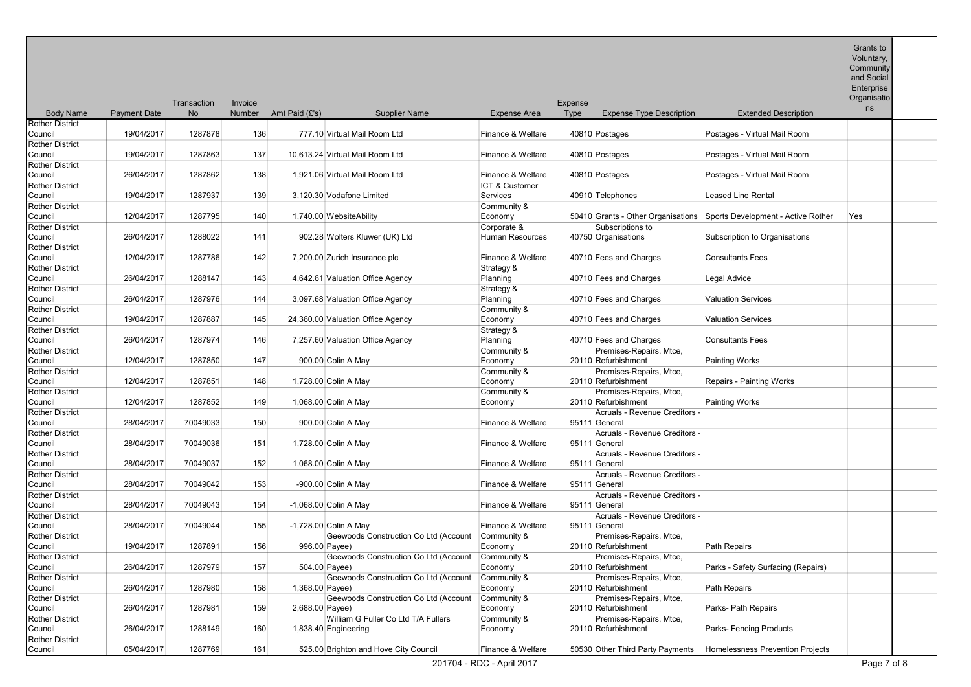Body Name Payment Date **Transaction** No Invoice Number Amt Paid (£'s) Supplier Name Expense Area Expense Type Expense Type Description Extended Description and Social **Enterprise Organisatio** ns Rother District<br>Council Council 19/04/2017 1287878 136 777.10 Virtual Mail Room Ltd Finance & Welfare 40810 Postages Postages - Virtual Mail Room Rother District Council 19/04/2017 1287863 137 10,613.24 Virtual Mail Room Ltd Finance & Welfare 40810 Postages Postages - Virtual Mail Room Ltd Rother District<br>Council 26/04/2017 1287862 138 1,921.06 Virtual Mail Room Ltd Finance & Welfare 40810 Postages Postages - Virtual Mail Room Rother District 19/04/2017 1287937 139 3.120.30 Vodafone Limited ICT & Customer Services 40910 Telephones Leased Line Rental Rother District Council 12/04/2017 1287795 140 1,740.00 WebsiteAbility Community & Economy 50410 Grants - Other Organisations Sports Development - Active Rother Yes Rother District 26/04/2017 1288022 141 902.28 Wolters Kluwer (UK) Ltd Corporate & Human Resources 40750 Organisations Subscriptions to **Subscription to Organisations** Rother District 12/04/2017 1287786 142 7,200.00 Zurich Insurance plc Finance & Welfare 40710 Fees and Charges Consultants Fees Rother District 26/04/2017 1288147 143 4,642.61 Valuation Office Agency Strategy &<br>Planning 40710 Fees and Charges Legal Advice Rother District<br>Council 26/04/2017 1287976 144 3,097.68 Valuation Office Agency Strategy & Planning **40710** Fees and Charges **Valuation Services** Rother District Council 19/04/2017 1287887 145 24,360.00 Valuation Office Agency Community & Economy 40710 Fees and Charges Valuation Services Rother District Council 26/04/2017 1287974 146 7,257.60 Valuation Office Agency **Strategy &** Planning 10710 Fees and Charges Consultants Fees **Rother District**<br>Council 12/04/2017 1287850 147 900.00 Colin A May Community & Economy 20110 Refurbishment Premises-Repairs, Mtce, **Painting Works** Rother District Council 12/04/2017 1287851 148 1,728.00 Colin A May Community & Economy 20110 Refurbishment Premises-Repairs, Mtce, Repairs - Painting Works Rother District Council 12/04/2017 1287852 149 1,068.00 Colin A May Community & Economy 20110 Refurbishment Premises-Repairs, Mtce, **Painting Works** Rother District Council 28/04/2017 70049033 150 900.00 Colin A May Finance & Welfare 95111 Acruals - Revenue Creditors - 95111 General Rother District 28/04/2017 70049036 151 1,728.00 Colin A May Finance & Welfare Acruals - Revenue Creditors - 95111 General Rother District Council 28/04/2017 70049037 152 1,068.00 Colin A May Finance & Welfare Acruals - Revenue Creditors - 95111 General Rother District Council 28/04/2017 70049042 153 -900.00 Colin A May Finance & Welfare 95111 Acruals - Revenue Creditors - 95111 General Rother District<br>Council 28/04/2017 70049043 154 -1,068.00 Colin A May Finance & Welfare Acruals - Revenue Creditors - 95111 General Rother District 28/04/2017 70049044 155 -1,728.00 Colin A May Finance & Welfare Acruals - Revenue Creditors - 95111 General Rother District Council 19/04/2017 1287891 156 Geewoods Construction Co Ltd (Account 996.00 Payee) Community & Economy Premises-Repairs, Mtce, 20110 Refurbishment Path Repairs Rother District Council 26/04/2017 1287979 157 Geewoods Construction Co Ltd (Account 504.00 Payee) Community & Economy 20110 Refurbishment Premises-Repairs, Mtce Parks - Safety Surfacing (Repairs) Rother District 26/04/2017 1287980 158 Geewoods Construction Co Ltd (Account 1.368.00 Payee) Community & Economy Premises-Repairs, Mtce, 20110 Refurbishment Path Repairs Rother District Council 26/04/2017 1287981 159 Geewoods Construction Co Ltd (Account 2.688.00 Payee) Community & Economy 20110 Refurbishment Premises-Repairs, Mtce, Parks- Path Repairs Rother District 26/04/2017 1288149 160 William G Fuller Co Ltd T/A Fullers 1.838.40 Engineering Community & Economy 20110 Refurbishment Premises-Repairs, Mtce, Parks- Fencing Products Rother District Council 05/04/2017 1287769 161 525.00 Brighton and Hove City Council Finance & Welfare 50530 Other Third Party Payments Homelessness Prevention Projects

Grants to Voluntary, **Community**